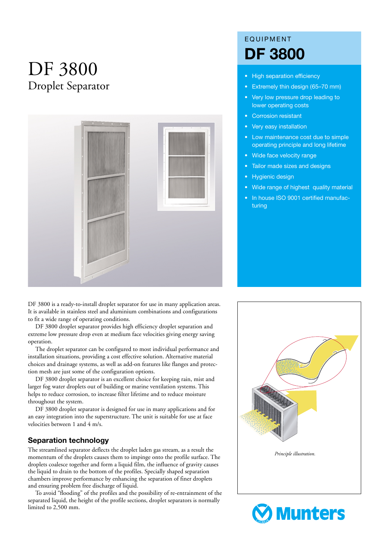# DF 3800 Droplet Separator



DF 3800 is a ready-to-install droplet separator for use in many application areas. It is available in stainless steel and aluminium combinations and configurations to fit a wide range of operating conditions.

DF 3800 droplet separator provides high efficiency droplet separation and extreme low pressure drop even at medium face velocities giving energy saving operation.

The droplet separator can be configured to most individual performance and installation situations, providing a cost effective solution. Alternative material choices and drainage systems, as well as add-on features like flanges and protection mesh are just some of the configuration options.

DF 3800 droplet separator is an excellent choice for keeping rain, mist and larger fog water droplets out of building or marine ventilation systems. This helps to reduce corrosion, to increase filter lifetime and to reduce moisture throughout the system.

DF 3800 droplet separator is designed for use in many applications and for an easy integration into the superstructure. The unit is suitable for use at face velocities between 1 and 4 m/s.

#### **Separation technology**

The streamlined separator deflects the droplet laden gas stream, as a result the momentum of the droplets causes them to impinge onto the profile surface. The droplets coalesce together and form a liquid film, the influence of gravity causes the liquid to drain to the bottom of the profiles. Specially shaped separation chambers improve performance by enhancing the separation of finer droplets and ensuring problem free discharge of liquid.

To avoid "flooding" of the profiles and the possibility of re-entrainment of the separated liquid, the height of the profile sections, droplet separators is normally limited to 2,500 mm.

# EQUIPMENT **DF 3800**

- High separation efficiency
- Extremely thin design (65–70 mm)
- Very low pressure drop leading to lower operating costs
- Corrosion resistant
- Very easy installation
- Low maintenance cost due to simple operating principle and long lifetime
- Wide face velocity range
- Tailor made sizes and designs
- Hygienic design
- Wide range of highest quality material
- In house ISO 9001 certified manufacturing



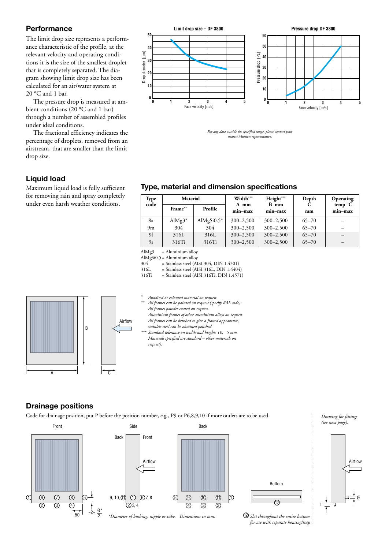#### **Performance**

The limit drop size represents a performance characteristic of the profile, at the relevant velocity and operating conditions it is the size of the smallest droplet that is completely separated. The diagram showing limit drop size has been calculated for an air/water system at 20 °C and 1 bar.

The pressure drop is measured at ambient conditions (20 °C and 1 bar) through a number of assembled profiles under ideal conditions.

The fractional efficiency indicates the percentage of droplets, removed from an airstream, that are smaller than the limit drop size.

# **Liquid load**

Maximum liquid load is fully sufficient for removing rain and spray completely under even harsh weather conditions.



*For any data outside the specified range, please contact your nearest Munters representative.*

# **Type, material and dimension specifications**

| Type<br>code | Material   |                | Width***          | Height***       | Depth     | Operating          |  |
|--------------|------------|----------------|-------------------|-----------------|-----------|--------------------|--|
|              | Frame**    | Profile        | A mm<br>$min-max$ | B mm<br>min-max | mm        | temp °C<br>min-max |  |
| 8a           | AlMg $3^*$ | AlMgSi $0.5^*$ | $300 - 2,500$     | $300 - 2,500$   | $65 - 70$ |                    |  |
| 9m           | 304        | 304            | $300 - 2,500$     | $300 - 2,500$   | $65 - 70$ |                    |  |
| 91           | 316L       | 316L           | $300 - 2,500$     | $300 - 2,500$   | $65 - 70$ |                    |  |
| 9s           | 316Ti      | 316Ti          | $300 - 2,500$     | $300 - 2,500$   | $65 - 70$ |                    |  |

AlMg3 = Aluminium alloy

AlMgSi0.5 = Aluminium alloy<br> $304 =$ Stainless steel (Al

 $304$  = Stainless steel (AISI 304, DIN 1.4301)<br>316L = Stainless steel (AISI 316L, DIN 1.4404

316L = Stainless steel (AISI 316L, DIN 1.4404)<br>316Ti = Stainless steel (AISI 316Ti, DIN 1.4571)  $=$  Stainless steel (AISI 316Ti, DIN 1.4571)





- *All frames powder coated on request. Aluminium frames of other aluminium alloys on request. All frames can be brushed to give a frosted appearance,*
- *stainless steel can be obtained polished. \*\*\* Standard tolerance on width and height: +0, –5 mm. Materials specified are standard – other materials on request).*

# **Drainage positions**

Code for drainage position, put P before the position number, e.g., P9 or P6,8,9,10 if more outlets are to be used.







<sup>12</sup> Slot throughout the entire bottom *for use with separate housing/tray.* *Drawing for fittings (see next page).*

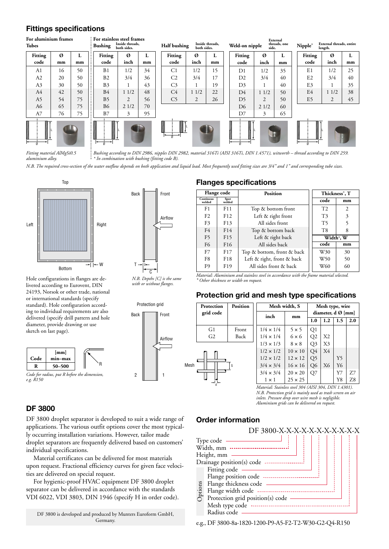#### **Fittings specifications**



*Fitting material AlMgSi0.5 Bushing according to DIN 2986, nipples DIN 2982, material 316Ti (AISI 316Ti, DIN 1.4571), witworth – thread according to DIN 259. aluminium alloy. \* In combination with bushing (fitting code B).*

*N.B. The required cross-section of the water outflow depends on both application and liquid load. Most frequently used fitting sizes are 3/4" and 1" and corresponding tube sizes.*



Hole configurations in flanges are delivered according to Eurovent, DIN 24193, Norsok or other trade, national or international standards (specify standard). Hole configuration according to individual requirements are also delivered (specify drill pattern and hole diameter, provide drawing or use sketch on last page).







*N.B. Depths [C] is the same with or without flanges.*



#### **Flanges specifications**

| Flange code         |                 | <b>Position</b>            | Thickness <sup>*</sup> , T |                |  |
|---------------------|-----------------|----------------------------|----------------------------|----------------|--|
| Continous<br>welded | Spot<br>welded  |                            | code                       | mm             |  |
| F1                  | F11             | Top & bottom front         | T <sub>2</sub>             | $\overline{c}$ |  |
| F <sub>2</sub>      | F12             | Left & right front         | T <sub>3</sub>             | 3              |  |
| F <sub>3</sub>      | F13             | All sides front            | T5                         | 5              |  |
| F4                  | F14             | Top & bottom back          | T <sub>8</sub>             | 8              |  |
| F <sub>5</sub>      | F15             | Left & right back          | Width*, W                  |                |  |
| F <sub>6</sub>      | F <sub>16</sub> | All sides back             | code                       | mm             |  |
| F7                  | F <sub>17</sub> | Top & bottom, front & back | W30                        | 30             |  |
| F8                  | F <sub>18</sub> | Left & right, front & back | W50                        | 50             |  |
| F9                  | F <sub>19</sub> | All sides front & back     | W60                        | 60             |  |

*Material: Aluminium and stainless steel in accordance with the frame material selected. \* Other thickness or width on request.*

#### **Protection grid and mesh type specifications**

| Protection     | <b>Position</b> | Mesh width, S    |                | Mesh type, wire                |     |     |     |
|----------------|-----------------|------------------|----------------|--------------------------------|-----|-----|-----|
| grid code      |                 | inch             | mm             | diameter, $d \varnothing$ [mm] |     |     |     |
|                |                 |                  |                | 1.0                            | 1.2 | 1.5 | 2.0 |
| G1             | Front           | $1/4 \times 1/4$ | $5 \times 5$   | Q1                             |     |     |     |
| G <sub>2</sub> | Back            | $1/4 \times 1/4$ | $6 \times 6$   | Q2                             | X2  |     |     |
|                |                 | $1/3 \times 1/3$ | $8 \times 8$   | Q3                             | X3  |     |     |
|                |                 | $1/2 \times 1/2$ | $10 \times 10$ | Q4                             | X4  |     |     |
|                |                 | $1/2 \times 1/2$ | $12 \times 12$ | Q5                             |     | Y5  |     |
|                | S               | $3/4 \times 3/4$ | $16 \times 16$ | Q <sub>6</sub>                 | X6  | Y6  |     |
|                |                 | $3/4 \times 3/4$ | $20 \times 20$ | Q7                             |     | Y7  | Z7  |
|                |                 | $1 \times 1$     | $25 \times 25$ |                                |     | Y8  | Z8  |

*Material: Stainless steel 304 (AISI 304, DIN 1.4301). N.B. Protection grid is mainly used as trash screen on air inlets. Pressure drop over wire mesh is negligible. Aluminium grids can be delivered on request.*

#### **DF 3800**

DF 3800 droplet separator is developed to suit a wide range of applications. The various outfit options cover the most typically occurring installation variations. However, tailor made droplet separators are frequently delivered based on customers' individual specifications.

Material certificates can be delivered for most materials upon request. Fractional efficiency curves for given face velocities are delivered on special request.

For hygienic-proof HVAC equipment DF 3800 droplet separator can be delivered in accordance with the standards VDI 6022, VDI 3803, DIN 1946 (specify H in order code).

DF 3800 is developed and produced by Munters Euroform GmbH, Germany.

# **Order information**



e.g., DF 3800-8a-1820-1200-P9-A5-F2-T2-W30-G2-Q4-R150